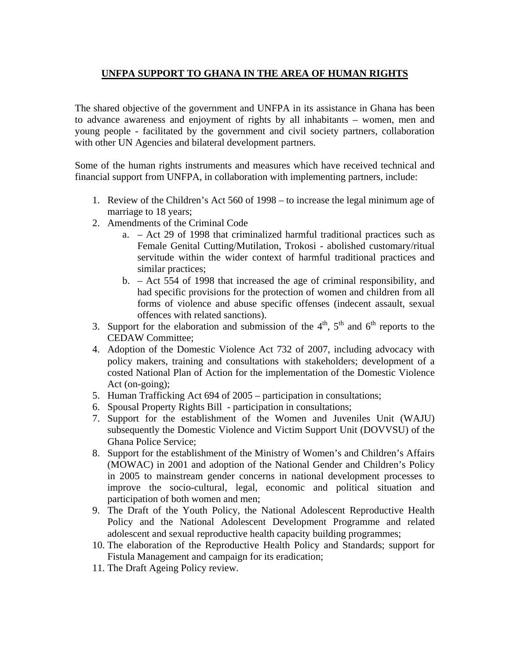## **UNFPA SUPPORT TO GHANA IN THE AREA OF HUMAN RIGHTS**

The shared objective of the government and UNFPA in its assistance in Ghana has been to advance awareness and enjoyment of rights by all inhabitants – women, men and young people - facilitated by the government and civil society partners, collaboration with other UN Agencies and bilateral development partners.

Some of the human rights instruments and measures which have received technical and financial support from UNFPA, in collaboration with implementing partners, include:

- 1. Review of the Children's Act 560 of 1998 to increase the legal minimum age of marriage to 18 years;
- 2. Amendments of the Criminal Code
	- a. Act 29 of 1998 that criminalized harmful traditional practices such as Female Genital Cutting/Mutilation, Trokosi - abolished customary/ritual servitude within the wider context of harmful traditional practices and similar practices;
	- b. Act 554 of 1998 that increased the age of criminal responsibility, and had specific provisions for the protection of women and children from all forms of violence and abuse specific offenses (indecent assault, sexual offences with related sanctions).
- 3. Support for the elaboration and submission of the  $4<sup>th</sup>$ ,  $5<sup>th</sup>$  and  $6<sup>th</sup>$  reports to the CEDAW Committee;
- 4. Adoption of the Domestic Violence Act 732 of 2007, including advocacy with policy makers, training and consultations with stakeholders; development of a costed National Plan of Action for the implementation of the Domestic Violence Act (on-going);
- 5. Human Trafficking Act 694 of 2005 participation in consultations;
- 6. Spousal Property Rights Bill participation in consultations;
- 7. Support for the establishment of the Women and Juveniles Unit (WAJU) subsequently the Domestic Violence and Victim Support Unit (DOVVSU) of the Ghana Police Service;
- 8. Support for the establishment of the Ministry of Women's and Children's Affairs (MOWAC) in 2001 and adoption of the National Gender and Children's Policy in 2005 to mainstream gender concerns in national development processes to improve the socio-cultural, legal, economic and political situation and participation of both women and men;
- 9. The Draft of the Youth Policy, the National Adolescent Reproductive Health Policy and the National Adolescent Development Programme and related adolescent and sexual reproductive health capacity building programmes;
- 10. The elaboration of the Reproductive Health Policy and Standards; support for Fistula Management and campaign for its eradication;
- 11. The Draft Ageing Policy review.